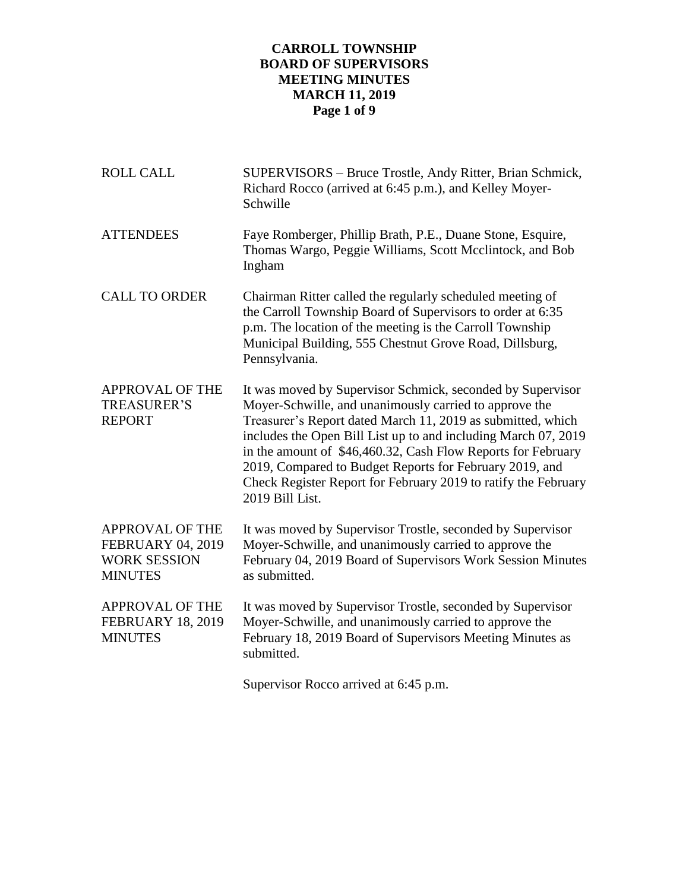## **CARROLL TOWNSHIP BOARD OF SUPERVISORS MEETING MINUTES MARCH 11, 2019 Page 1 of 9**

| <b>ROLL CALL</b>                                                                            | SUPERVISORS - Bruce Trostle, Andy Ritter, Brian Schmick,<br>Richard Rocco (arrived at 6:45 p.m.), and Kelley Moyer-<br>Schwille                                                                                                                                                                                                                                                                                                                                       |
|---------------------------------------------------------------------------------------------|-----------------------------------------------------------------------------------------------------------------------------------------------------------------------------------------------------------------------------------------------------------------------------------------------------------------------------------------------------------------------------------------------------------------------------------------------------------------------|
| <b>ATTENDEES</b>                                                                            | Faye Romberger, Phillip Brath, P.E., Duane Stone, Esquire,<br>Thomas Wargo, Peggie Williams, Scott Mcclintock, and Bob<br>Ingham                                                                                                                                                                                                                                                                                                                                      |
| <b>CALL TO ORDER</b>                                                                        | Chairman Ritter called the regularly scheduled meeting of<br>the Carroll Township Board of Supervisors to order at 6:35<br>p.m. The location of the meeting is the Carroll Township<br>Municipal Building, 555 Chestnut Grove Road, Dillsburg,<br>Pennsylvania.                                                                                                                                                                                                       |
| <b>APPROVAL OF THE</b><br><b>TREASURER'S</b><br><b>REPORT</b>                               | It was moved by Supervisor Schmick, seconded by Supervisor<br>Moyer-Schwille, and unanimously carried to approve the<br>Treasurer's Report dated March 11, 2019 as submitted, which<br>includes the Open Bill List up to and including March 07, 2019<br>in the amount of \$46,460.32, Cash Flow Reports for February<br>2019, Compared to Budget Reports for February 2019, and<br>Check Register Report for February 2019 to ratify the February<br>2019 Bill List. |
| <b>APPROVAL OF THE</b><br><b>FEBRUARY 04, 2019</b><br><b>WORK SESSION</b><br><b>MINUTES</b> | It was moved by Supervisor Trostle, seconded by Supervisor<br>Moyer-Schwille, and unanimously carried to approve the<br>February 04, 2019 Board of Supervisors Work Session Minutes<br>as submitted.                                                                                                                                                                                                                                                                  |
| <b>APPROVAL OF THE</b><br><b>FEBRUARY 18, 2019</b><br><b>MINUTES</b>                        | It was moved by Supervisor Trostle, seconded by Supervisor<br>Moyer-Schwille, and unanimously carried to approve the<br>February 18, 2019 Board of Supervisors Meeting Minutes as<br>submitted.                                                                                                                                                                                                                                                                       |

Supervisor Rocco arrived at 6:45 p.m.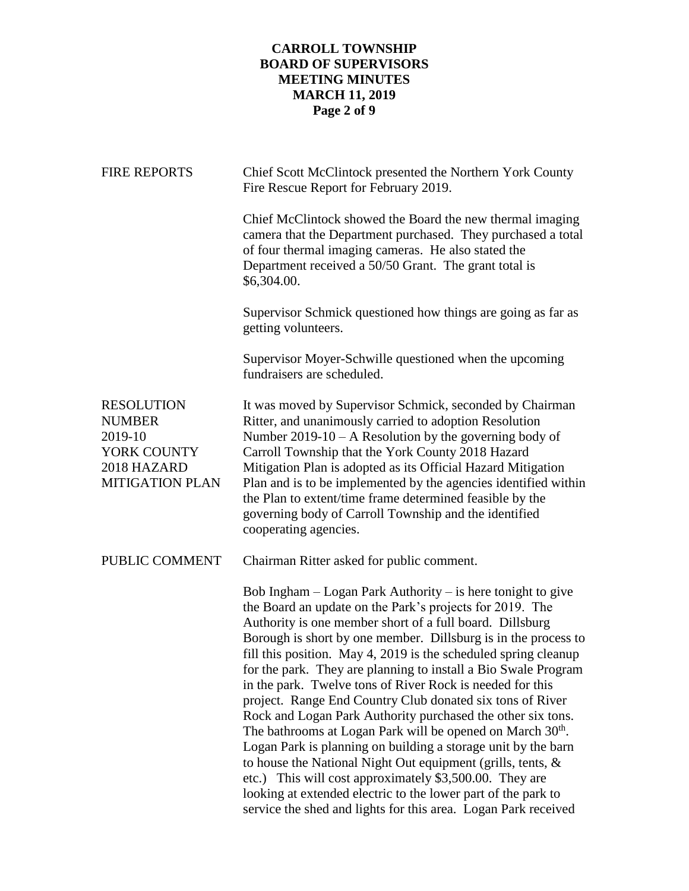# **CARROLL TOWNSHIP BOARD OF SUPERVISORS MEETING MINUTES MARCH 11, 2019 Page 2 of 9**

| <b>FIRE REPORTS</b>                                                                                   | Chief Scott McClintock presented the Northern York County<br>Fire Rescue Report for February 2019.                                                                                                                                                                                                                                                                                                                                                                                                                                                                                                                                                                                                                                                                                                                                                                                                                                                                                                 |
|-------------------------------------------------------------------------------------------------------|----------------------------------------------------------------------------------------------------------------------------------------------------------------------------------------------------------------------------------------------------------------------------------------------------------------------------------------------------------------------------------------------------------------------------------------------------------------------------------------------------------------------------------------------------------------------------------------------------------------------------------------------------------------------------------------------------------------------------------------------------------------------------------------------------------------------------------------------------------------------------------------------------------------------------------------------------------------------------------------------------|
|                                                                                                       | Chief McClintock showed the Board the new thermal imaging<br>camera that the Department purchased. They purchased a total<br>of four thermal imaging cameras. He also stated the<br>Department received a 50/50 Grant. The grant total is<br>\$6,304.00.                                                                                                                                                                                                                                                                                                                                                                                                                                                                                                                                                                                                                                                                                                                                           |
|                                                                                                       | Supervisor Schmick questioned how things are going as far as<br>getting volunteers.                                                                                                                                                                                                                                                                                                                                                                                                                                                                                                                                                                                                                                                                                                                                                                                                                                                                                                                |
|                                                                                                       | Supervisor Moyer-Schwille questioned when the upcoming<br>fundraisers are scheduled.                                                                                                                                                                                                                                                                                                                                                                                                                                                                                                                                                                                                                                                                                                                                                                                                                                                                                                               |
| <b>RESOLUTION</b><br><b>NUMBER</b><br>2019-10<br>YORK COUNTY<br>2018 HAZARD<br><b>MITIGATION PLAN</b> | It was moved by Supervisor Schmick, seconded by Chairman<br>Ritter, and unanimously carried to adoption Resolution<br>Number $2019-10 - A$ Resolution by the governing body of<br>Carroll Township that the York County 2018 Hazard<br>Mitigation Plan is adopted as its Official Hazard Mitigation<br>Plan and is to be implemented by the agencies identified within<br>the Plan to extent/time frame determined feasible by the<br>governing body of Carroll Township and the identified<br>cooperating agencies.                                                                                                                                                                                                                                                                                                                                                                                                                                                                               |
| PUBLIC COMMENT                                                                                        | Chairman Ritter asked for public comment.                                                                                                                                                                                                                                                                                                                                                                                                                                                                                                                                                                                                                                                                                                                                                                                                                                                                                                                                                          |
|                                                                                                       | Bob Ingham $-$ Logan Park Authority $-$ is here tonight to give<br>the Board an update on the Park's projects for 2019. The<br>Authority is one member short of a full board. Dillsburg<br>Borough is short by one member. Dillsburg is in the process to<br>fill this position. May 4, 2019 is the scheduled spring cleanup<br>for the park. They are planning to install a Bio Swale Program<br>in the park. Twelve tons of River Rock is needed for this<br>project. Range End Country Club donated six tons of River<br>Rock and Logan Park Authority purchased the other six tons.<br>The bathrooms at Logan Park will be opened on March 30 <sup>th</sup> .<br>Logan Park is planning on building a storage unit by the barn<br>to house the National Night Out equipment (grills, tents, $\&$<br>etc.) This will cost approximately \$3,500.00. They are<br>looking at extended electric to the lower part of the park to<br>service the shed and lights for this area. Logan Park received |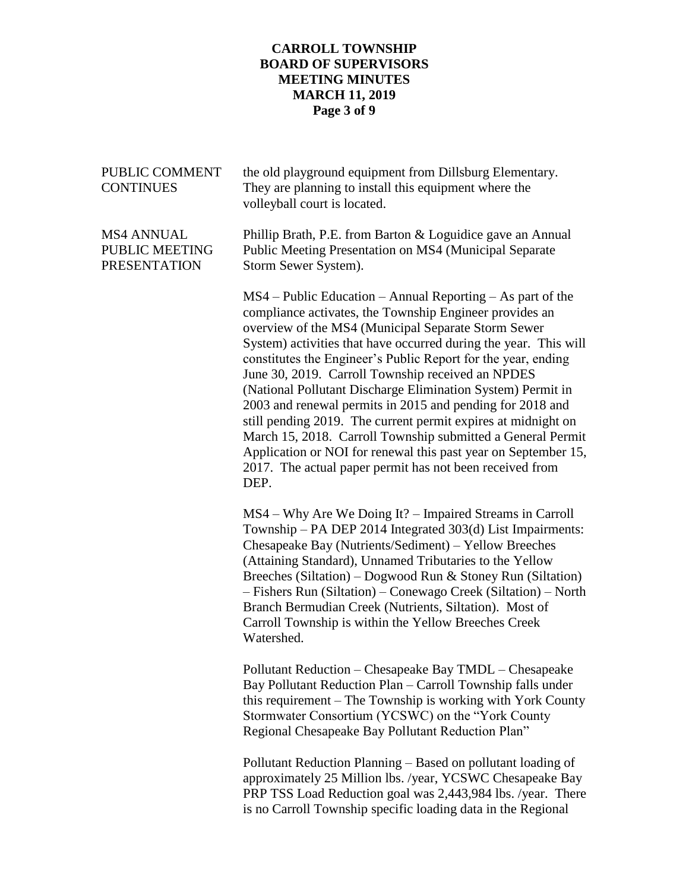## **CARROLL TOWNSHIP BOARD OF SUPERVISORS MEETING MINUTES MARCH 11, 2019 Page 3 of 9**

| PUBLIC COMMENT<br><b>CONTINUES</b>                         | the old playground equipment from Dillsburg Elementary.<br>They are planning to install this equipment where the<br>volleyball court is located.                                                                                                                                                                                                                                                                                                                                                                                                                                                                                                                                                                                                                           |
|------------------------------------------------------------|----------------------------------------------------------------------------------------------------------------------------------------------------------------------------------------------------------------------------------------------------------------------------------------------------------------------------------------------------------------------------------------------------------------------------------------------------------------------------------------------------------------------------------------------------------------------------------------------------------------------------------------------------------------------------------------------------------------------------------------------------------------------------|
| <b>MS4 ANNUAL</b><br>PUBLIC MEETING<br><b>PRESENTATION</b> | Phillip Brath, P.E. from Barton & Loguidice gave an Annual<br>Public Meeting Presentation on MS4 (Municipal Separate<br>Storm Sewer System).                                                                                                                                                                                                                                                                                                                                                                                                                                                                                                                                                                                                                               |
|                                                            | $MS4$ – Public Education – Annual Reporting – As part of the<br>compliance activates, the Township Engineer provides an<br>overview of the MS4 (Municipal Separate Storm Sewer<br>System) activities that have occurred during the year. This will<br>constitutes the Engineer's Public Report for the year, ending<br>June 30, 2019. Carroll Township received an NPDES<br>(National Pollutant Discharge Elimination System) Permit in<br>2003 and renewal permits in 2015 and pending for 2018 and<br>still pending 2019. The current permit expires at midnight on<br>March 15, 2018. Carroll Township submitted a General Permit<br>Application or NOI for renewal this past year on September 15,<br>2017. The actual paper permit has not been received from<br>DEP. |
|                                                            | MS4 – Why Are We Doing It? – Impaired Streams in Carroll<br>Township – PA DEP 2014 Integrated 303(d) List Impairments:<br>Chesapeake Bay (Nutrients/Sediment) – Yellow Breeches<br>(Attaining Standard), Unnamed Tributaries to the Yellow<br>Breeches (Siltation) – Dogwood Run & Stoney Run (Siltation)<br>- Fishers Run (Siltation) – Conewago Creek (Siltation) – North<br>Branch Bermudian Creek (Nutrients, Siltation). Most of<br>Carroll Township is within the Yellow Breeches Creek<br>Watershed.                                                                                                                                                                                                                                                                |
|                                                            | Pollutant Reduction - Chesapeake Bay TMDL - Chesapeake<br>Bay Pollutant Reduction Plan - Carroll Township falls under<br>this requirement - The Township is working with York County<br>Stormwater Consortium (YCSWC) on the "York County<br>Regional Chesapeake Bay Pollutant Reduction Plan"                                                                                                                                                                                                                                                                                                                                                                                                                                                                             |
|                                                            | Pollutant Reduction Planning – Based on pollutant loading of<br>approximately 25 Million lbs. /year, YCSWC Chesapeake Bay<br>PRP TSS Load Reduction goal was 2,443,984 lbs. /year. There<br>is no Carroll Township specific loading data in the Regional                                                                                                                                                                                                                                                                                                                                                                                                                                                                                                                   |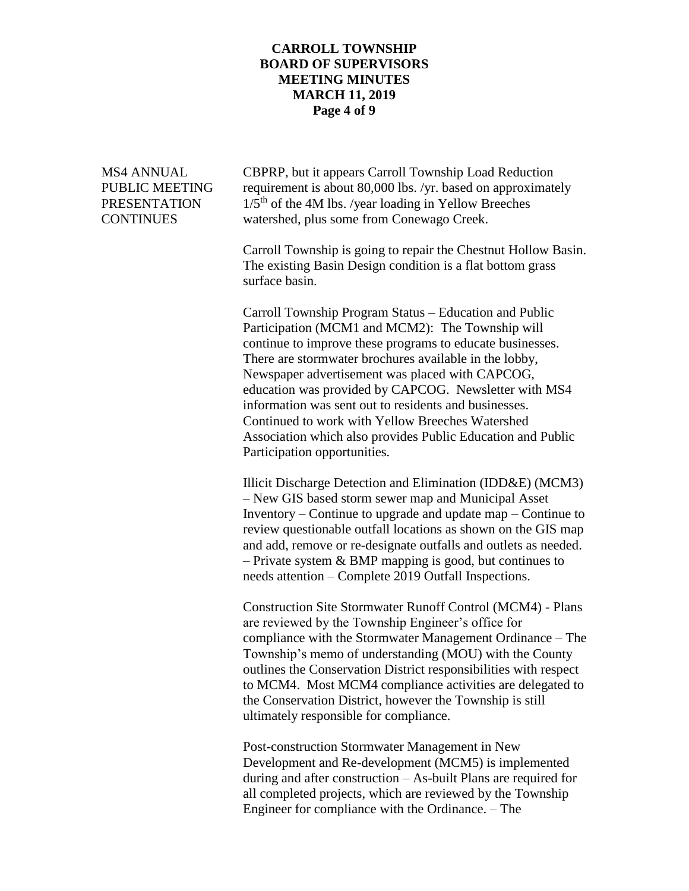### **CARROLL TOWNSHIP BOARD OF SUPERVISORS MEETING MINUTES MARCH 11, 2019 Page 4 of 9**

MS4 ANNUAL CBPRP, but it appears Carroll Township Load Reduction PUBLIC MEETING requirement is about 80,000 lbs. /yr. based on approximately PRESENTATION  $1/5<sup>th</sup>$  of the 4M lbs. /year loading in Yellow Breeches CONTINUES watershed, plus some from Conewago Creek.

> Carroll Township is going to repair the Chestnut Hollow Basin. The existing Basin Design condition is a flat bottom grass surface basin.

Carroll Township Program Status – Education and Public Participation (MCM1 and MCM2): The Township will continue to improve these programs to educate businesses. There are stormwater brochures available in the lobby, Newspaper advertisement was placed with CAPCOG, education was provided by CAPCOG. Newsletter with MS4 information was sent out to residents and businesses. Continued to work with Yellow Breeches Watershed Association which also provides Public Education and Public Participation opportunities.

Illicit Discharge Detection and Elimination (IDD&E) (MCM3) – New GIS based storm sewer map and Municipal Asset Inventory – Continue to upgrade and update map – Continue to review questionable outfall locations as shown on the GIS map and add, remove or re-designate outfalls and outlets as needed. – Private system & BMP mapping is good, but continues to needs attention – Complete 2019 Outfall Inspections.

Construction Site Stormwater Runoff Control (MCM4) - Plans are reviewed by the Township Engineer's office for compliance with the Stormwater Management Ordinance – The Township's memo of understanding (MOU) with the County outlines the Conservation District responsibilities with respect to MCM4. Most MCM4 compliance activities are delegated to the Conservation District, however the Township is still ultimately responsible for compliance.

Post-construction Stormwater Management in New Development and Re-development (MCM5) is implemented during and after construction – As-built Plans are required for all completed projects, which are reviewed by the Township Engineer for compliance with the Ordinance. – The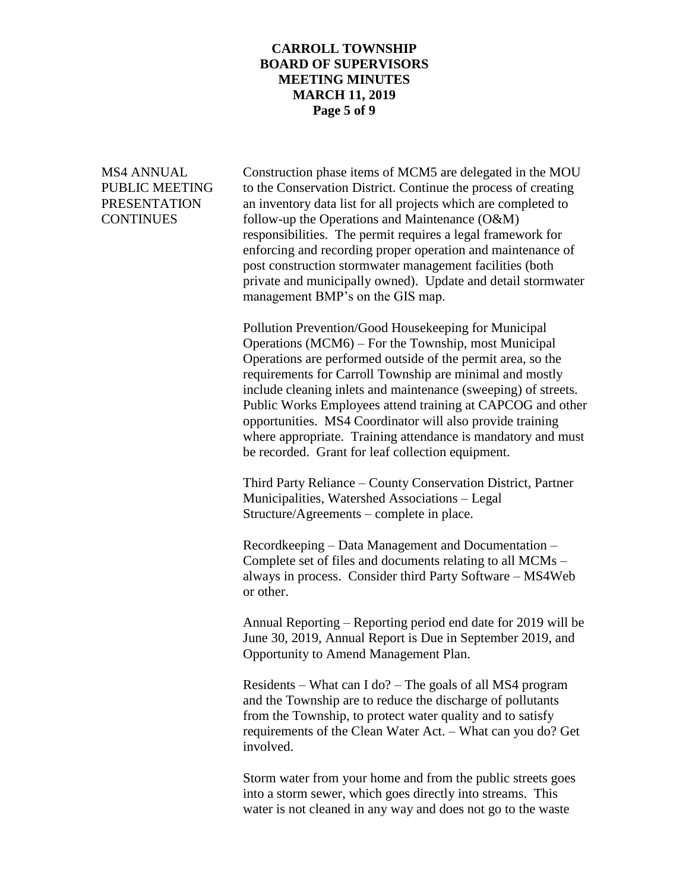#### **CARROLL TOWNSHIP BOARD OF SUPERVISORS MEETING MINUTES MARCH 11, 2019 Page 5 of 9**

MS4 ANNUAL Construction phase items of MCM5 are delegated in the MOU PUBLIC MEETING to the Conservation District. Continue the process of creating PRESENTATION an inventory data list for all projects which are completed to CONTINUES follow-up the Operations and Maintenance (O&M) responsibilities. The permit requires a legal framework for enforcing and recording proper operation and maintenance of post construction stormwater management facilities (both private and municipally owned). Update and detail stormwater management BMP's on the GIS map.

> Pollution Prevention/Good Housekeeping for Municipal Operations (MCM6) – For the Township, most Municipal Operations are performed outside of the permit area, so the requirements for Carroll Township are minimal and mostly include cleaning inlets and maintenance (sweeping) of streets. Public Works Employees attend training at CAPCOG and other opportunities. MS4 Coordinator will also provide training where appropriate. Training attendance is mandatory and must be recorded. Grant for leaf collection equipment.

Third Party Reliance – County Conservation District, Partner Municipalities, Watershed Associations – Legal Structure/Agreements – complete in place.

Recordkeeping – Data Management and Documentation – Complete set of files and documents relating to all MCMs – always in process. Consider third Party Software – MS4Web or other.

Annual Reporting – Reporting period end date for 2019 will be June 30, 2019, Annual Report is Due in September 2019, and Opportunity to Amend Management Plan.

Residents – What can I do? – The goals of all MS4 program and the Township are to reduce the discharge of pollutants from the Township, to protect water quality and to satisfy requirements of the Clean Water Act. – What can you do? Get involved.

Storm water from your home and from the public streets goes into a storm sewer, which goes directly into streams. This water is not cleaned in any way and does not go to the waste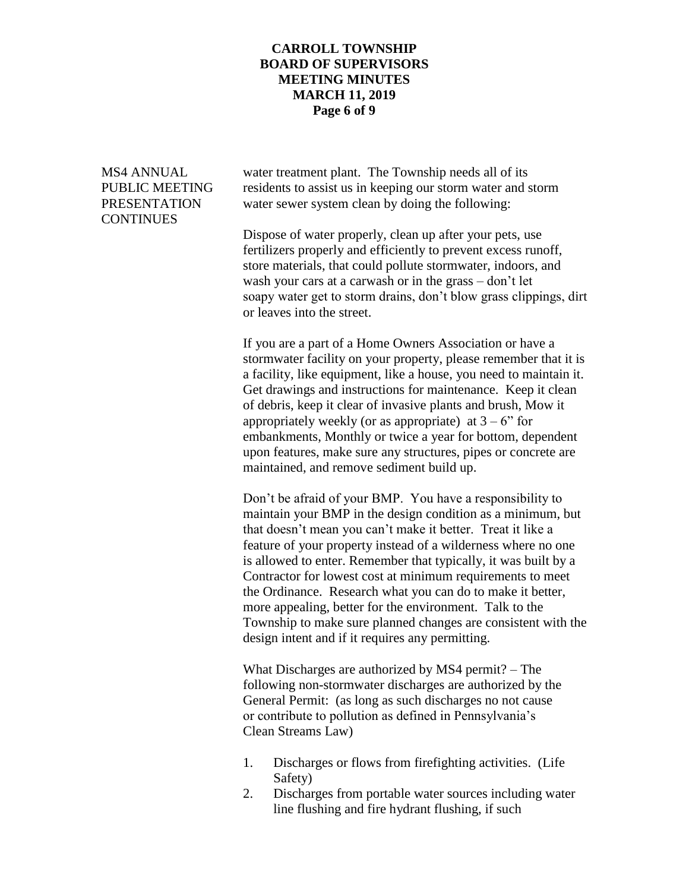### **CARROLL TOWNSHIP BOARD OF SUPERVISORS MEETING MINUTES MARCH 11, 2019 Page 6 of 9**

**CONTINUES** 

MS4 ANNUAL water treatment plant. The Township needs all of its PUBLIC MEETING residents to assist us in keeping our storm water and storm PRESENTATION water sewer system clean by doing the following:

> Dispose of water properly, clean up after your pets, use fertilizers properly and efficiently to prevent excess runoff, store materials, that could pollute stormwater, indoors, and wash your cars at a carwash or in the grass – don't let soapy water get to storm drains, don't blow grass clippings, dirt or leaves into the street.

> If you are a part of a Home Owners Association or have a stormwater facility on your property, please remember that it is a facility, like equipment, like a house, you need to maintain it. Get drawings and instructions for maintenance. Keep it clean of debris, keep it clear of invasive plants and brush, Mow it appropriately weekly (or as appropriate) at  $3 - 6$ " for embankments, Monthly or twice a year for bottom, dependent upon features, make sure any structures, pipes or concrete are maintained, and remove sediment build up.

> Don't be afraid of your BMP. You have a responsibility to maintain your BMP in the design condition as a minimum, but that doesn't mean you can't make it better. Treat it like a feature of your property instead of a wilderness where no one is allowed to enter. Remember that typically, it was built by a Contractor for lowest cost at minimum requirements to meet the Ordinance. Research what you can do to make it better, more appealing, better for the environment. Talk to the Township to make sure planned changes are consistent with the design intent and if it requires any permitting.

What Discharges are authorized by MS4 permit? – The following non-stormwater discharges are authorized by the General Permit: (as long as such discharges no not cause or contribute to pollution as defined in Pennsylvania's Clean Streams Law)

- 1. Discharges or flows from firefighting activities. (Life Safety)
- 2. Discharges from portable water sources including water line flushing and fire hydrant flushing, if such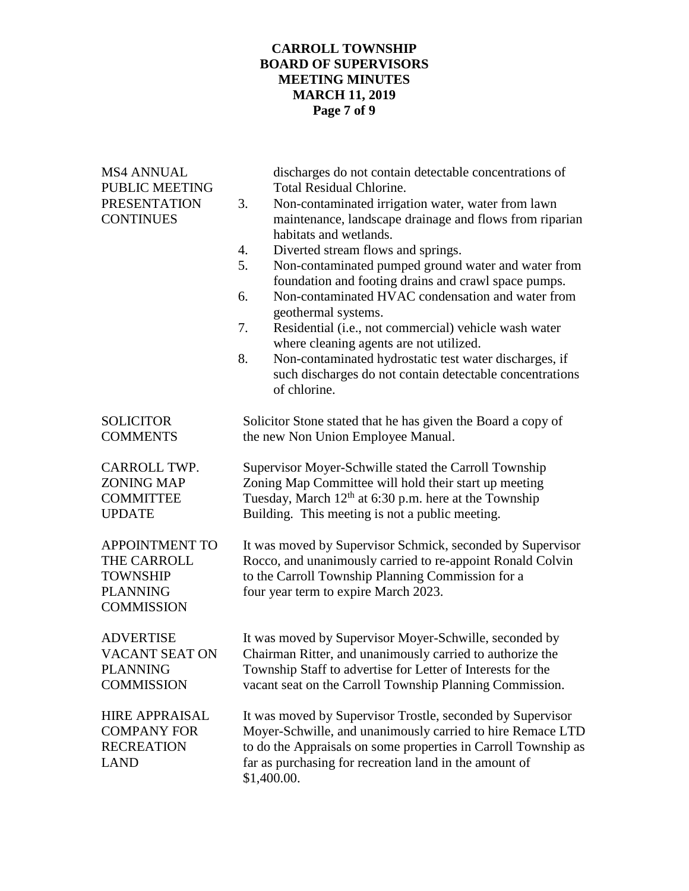## **CARROLL TOWNSHIP BOARD OF SUPERVISORS MEETING MINUTES MARCH 11, 2019 Page 7 of 9**

| <b>MS4 ANNUAL</b><br><b>PUBLIC MEETING</b><br><b>PRESENTATION</b><br><b>CONTINUES</b>           | discharges do not contain detectable concentrations of<br><b>Total Residual Chlorine.</b><br>Non-contaminated irrigation water, water from lawn<br>3.<br>maintenance, landscape drainage and flows from riparian<br>habitats and wetlands.<br>4.<br>Diverted stream flows and springs.<br>5.<br>Non-contaminated pumped ground water and water from<br>foundation and footing drains and crawl space pumps.<br>Non-contaminated HVAC condensation and water from<br>6.<br>geothermal systems.<br>7.<br>Residential (i.e., not commercial) vehicle wash water<br>where cleaning agents are not utilized.<br>8.<br>Non-contaminated hydrostatic test water discharges, if<br>such discharges do not contain detectable concentrations<br>of chlorine. |
|-------------------------------------------------------------------------------------------------|-----------------------------------------------------------------------------------------------------------------------------------------------------------------------------------------------------------------------------------------------------------------------------------------------------------------------------------------------------------------------------------------------------------------------------------------------------------------------------------------------------------------------------------------------------------------------------------------------------------------------------------------------------------------------------------------------------------------------------------------------------|
| <b>SOLICITOR</b>                                                                                | Solicitor Stone stated that he has given the Board a copy of                                                                                                                                                                                                                                                                                                                                                                                                                                                                                                                                                                                                                                                                                        |
| <b>COMMENTS</b>                                                                                 | the new Non Union Employee Manual.                                                                                                                                                                                                                                                                                                                                                                                                                                                                                                                                                                                                                                                                                                                  |
| CARROLL TWP.                                                                                    | Supervisor Moyer-Schwille stated the Carroll Township                                                                                                                                                                                                                                                                                                                                                                                                                                                                                                                                                                                                                                                                                               |
| <b>ZONING MAP</b>                                                                               | Zoning Map Committee will hold their start up meeting                                                                                                                                                                                                                                                                                                                                                                                                                                                                                                                                                                                                                                                                                               |
| <b>COMMITTEE</b>                                                                                | Tuesday, March $12th$ at 6:30 p.m. here at the Township                                                                                                                                                                                                                                                                                                                                                                                                                                                                                                                                                                                                                                                                                             |
| <b>UPDATE</b>                                                                                   | Building. This meeting is not a public meeting.                                                                                                                                                                                                                                                                                                                                                                                                                                                                                                                                                                                                                                                                                                     |
| <b>APPOINTMENT TO</b><br>THE CARROLL<br><b>TOWNSHIP</b><br><b>PLANNING</b><br><b>COMMISSION</b> | It was moved by Supervisor Schmick, seconded by Supervisor<br>Rocco, and unanimously carried to re-appoint Ronald Colvin<br>to the Carroll Township Planning Commission for a<br>four year term to expire March 2023.                                                                                                                                                                                                                                                                                                                                                                                                                                                                                                                               |
| <b>ADVERTISE</b>                                                                                | It was moved by Supervisor Moyer-Schwille, seconded by                                                                                                                                                                                                                                                                                                                                                                                                                                                                                                                                                                                                                                                                                              |
| <b>VACANT SEAT ON</b>                                                                           | Chairman Ritter, and unanimously carried to authorize the                                                                                                                                                                                                                                                                                                                                                                                                                                                                                                                                                                                                                                                                                           |
| <b>PLANNING</b>                                                                                 | Township Staff to advertise for Letter of Interests for the                                                                                                                                                                                                                                                                                                                                                                                                                                                                                                                                                                                                                                                                                         |
| <b>COMMISSION</b>                                                                               | vacant seat on the Carroll Township Planning Commission.                                                                                                                                                                                                                                                                                                                                                                                                                                                                                                                                                                                                                                                                                            |
| <b>HIRE APPRAISAL</b><br><b>COMPANY FOR</b><br><b>RECREATION</b><br><b>LAND</b>                 | It was moved by Supervisor Trostle, seconded by Supervisor<br>Moyer-Schwille, and unanimously carried to hire Remace LTD<br>to do the Appraisals on some properties in Carroll Township as<br>far as purchasing for recreation land in the amount of<br>\$1,400.00.                                                                                                                                                                                                                                                                                                                                                                                                                                                                                 |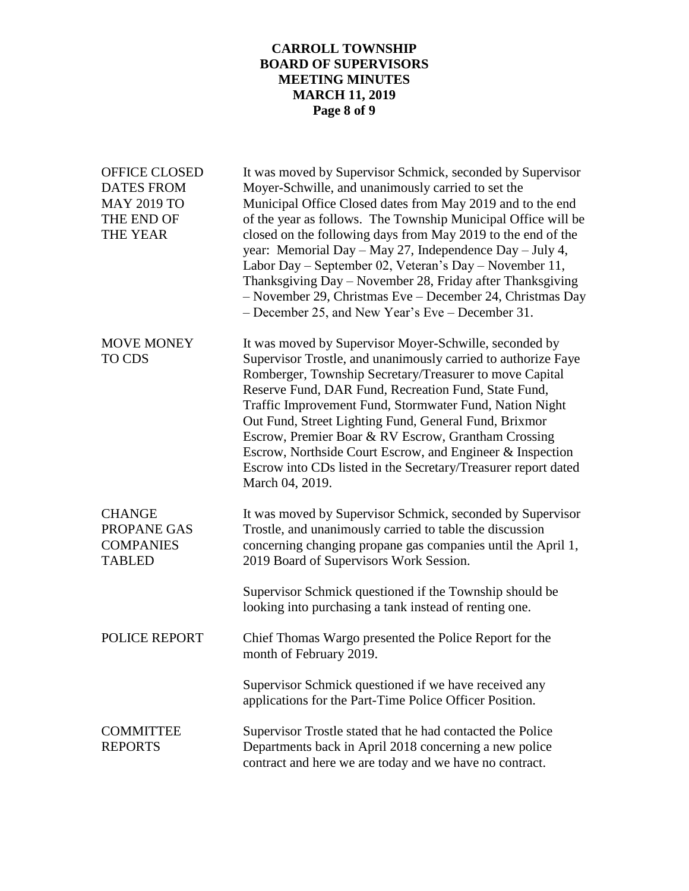## **CARROLL TOWNSHIP BOARD OF SUPERVISORS MEETING MINUTES MARCH 11, 2019 Page 8 of 9**

| <b>OFFICE CLOSED</b><br><b>DATES FROM</b><br><b>MAY 2019 TO</b><br>THE END OF<br>THE YEAR | It was moved by Supervisor Schmick, seconded by Supervisor<br>Moyer-Schwille, and unanimously carried to set the<br>Municipal Office Closed dates from May 2019 and to the end<br>of the year as follows. The Township Municipal Office will be<br>closed on the following days from May 2019 to the end of the<br>year: Memorial Day - May 27, Independence Day - July 4,<br>Labor Day - September 02, Veteran's Day - November 11,<br>Thanksgiving Day - November 28, Friday after Thanksgiving<br>- November 29, Christmas Eve - December 24, Christmas Day<br>- December 25, and New Year's Eve – December 31. |
|-------------------------------------------------------------------------------------------|--------------------------------------------------------------------------------------------------------------------------------------------------------------------------------------------------------------------------------------------------------------------------------------------------------------------------------------------------------------------------------------------------------------------------------------------------------------------------------------------------------------------------------------------------------------------------------------------------------------------|
| <b>MOVE MONEY</b><br>TO CDS                                                               | It was moved by Supervisor Moyer-Schwille, seconded by<br>Supervisor Trostle, and unanimously carried to authorize Faye<br>Romberger, Township Secretary/Treasurer to move Capital<br>Reserve Fund, DAR Fund, Recreation Fund, State Fund,<br>Traffic Improvement Fund, Stormwater Fund, Nation Night<br>Out Fund, Street Lighting Fund, General Fund, Brixmor<br>Escrow, Premier Boar & RV Escrow, Grantham Crossing<br>Escrow, Northside Court Escrow, and Engineer & Inspection<br>Escrow into CDs listed in the Secretary/Treasurer report dated<br>March 04, 2019.                                            |
| <b>CHANGE</b><br>PROPANE GAS<br><b>COMPANIES</b><br><b>TABLED</b>                         | It was moved by Supervisor Schmick, seconded by Supervisor<br>Trostle, and unanimously carried to table the discussion<br>concerning changing propane gas companies until the April 1,<br>2019 Board of Supervisors Work Session.                                                                                                                                                                                                                                                                                                                                                                                  |
|                                                                                           | Supervisor Schmick questioned if the Township should be<br>looking into purchasing a tank instead of renting one.                                                                                                                                                                                                                                                                                                                                                                                                                                                                                                  |
| <b>POLICE REPORT</b>                                                                      | Chief Thomas Wargo presented the Police Report for the<br>month of February 2019.                                                                                                                                                                                                                                                                                                                                                                                                                                                                                                                                  |
|                                                                                           | Supervisor Schmick questioned if we have received any<br>applications for the Part-Time Police Officer Position.                                                                                                                                                                                                                                                                                                                                                                                                                                                                                                   |
| <b>COMMITTEE</b><br><b>REPORTS</b>                                                        | Supervisor Trostle stated that he had contacted the Police<br>Departments back in April 2018 concerning a new police<br>contract and here we are today and we have no contract.                                                                                                                                                                                                                                                                                                                                                                                                                                    |